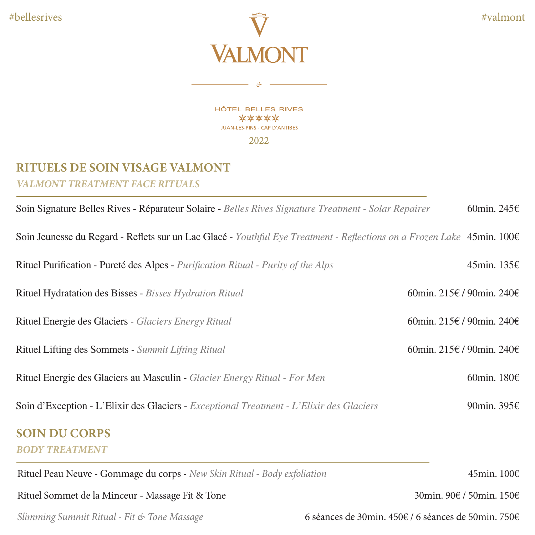

HÔTEL BELLES RIVES \*\*\*\*\* JUAN-LES-PINS - CAP D'ANTIBES 2022

 $-$  &  $-$ 

## **RITUELS DE SOIN VISAGE VALMONT** *VALMONT TREATMENT FACE RITUALS*

| Soin Signature Belles Rives - Réparateur Solaire - Belles Rives Signature Treatment - Solar Repairer                   | 60min. 245 $\varepsilon$                            |
|------------------------------------------------------------------------------------------------------------------------|-----------------------------------------------------|
| Soin Jeunesse du Regard - Reflets sur un Lac Glacé - Youthful Eye Treatment - Reflections on a Frozen Lake 45min. 100€ |                                                     |
| Rituel Purification - Pureté des Alpes - Purification Ritual - Purity of the Alps                                      | 45min. 135€                                         |
| Rituel Hydratation des Bisses - Bisses Hydration Ritual                                                                | 60min. 215€ / 90min. 240€                           |
| Rituel Energie des Glaciers - Glaciers Energy Ritual                                                                   | 60min. 215€ / 90min. 240€                           |
| Rituel Lifting des Sommets - Summit Lifting Ritual                                                                     | 60min. 215€ / 90min. 240€                           |
| Rituel Energie des Glaciers au Masculin - Glacier Energy Ritual - For Men                                              | 60min. 180€                                         |
| Soin d'Exception - L'Elixir des Glaciers - Exceptional Treatment - L'Elixir des Glaciers                               | 90min. 395€                                         |
| <b>SOIN DU CORPS</b>                                                                                                   |                                                     |
| <b>BODY TREATMENT</b>                                                                                                  |                                                     |
| Rituel Peau Neuve - Gommage du corps - New Skin Ritual - Body exfoliation                                              | 45min. 100€                                         |
| Rituel Sommet de la Minceur - Massage Fit & Tone                                                                       | 30min. 90€ / 50min. 150€                            |
| Slimming Summit Ritual - Fit & Tone Massage                                                                            | 6 séances de 30min. 450€ / 6 séances de 50min. 750€ |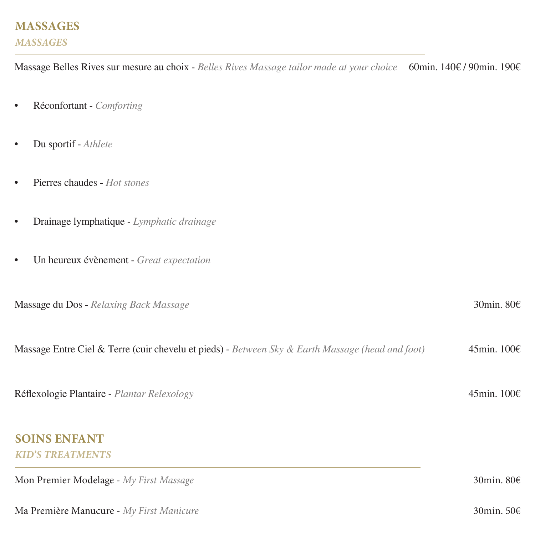## **MASSAGES** *MASSAGES*

Massage Belles Rives sur mesure au choix - *Belles Rives Massage tailor made at your choice* 60min. 140€ / 90min. 190€

- Réconfortant *Comforting*
- Du sportif *Athlete*
- Pierres chaudes *Hot stones*
- Drainage lymphatique *Lymphatic drainage*
- Un heureux évènement *Great expectation*

| <b>Massage du Dos - Relaxing Back Massage</b>                                                    | 30min. $80E$          |
|--------------------------------------------------------------------------------------------------|-----------------------|
| Massage Entre Ciel & Terre (cuir chevelu et pieds) - Between Sky & Earth Massage (head and foot) | 45min. $100 \in$      |
| Réflexologie Plantaire - Plantar Relexology                                                      | 45min. $100 \in$      |
| <b>SOINS ENFANT</b><br><b>KID'S TREATMENTS</b>                                                   |                       |
| Mon Premier Modelage - My First Massage                                                          | 30 min. 80 $\epsilon$ |
| Ma Première Manucure - My First Manicure                                                         | 30min. $50ε$          |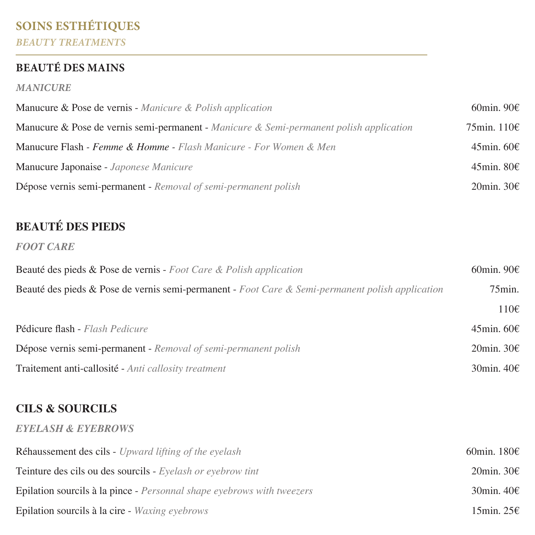# **SOINS ESTHÉTIQUES** *BEAUTY TREATMENTS*

## **BEAUTÉ DES MAINS**

#### *MANICURE*

| Manucure & Pose de vernis - Manicure & Polish application                               | 60min. 90 $\epsilon$ |
|-----------------------------------------------------------------------------------------|----------------------|
| Manucure & Pose de vernis semi-permanent - Manicure & Semi-permanent polish application | 75min. $110 \in$     |
| <b>Manucure Flash - Femme &amp; Homme - Flash Manicure - For Women &amp; Men</b>        | 45min. $60 \in$      |
| Manucure Japonaise - Japonese Manicure                                                  | $45$ min. 80€        |
| Dépose vernis semi-permanent - Removal of semi-permanent polish                         | 20min. $30\epsilon$  |

# **BEAUTÉ DES PIEDS**

#### *FOOT CARE*

| Beauté des pieds & Pose de vernis - Foot Care & Polish application                               | 60min. 90 $\varepsilon$ |
|--------------------------------------------------------------------------------------------------|-------------------------|
| Beauté des pieds & Pose de vernis semi-permanent - Foot Care & Semi-permanent polish application | $75$ min.               |
|                                                                                                  | $110 \epsilon$          |
| Pédicure flash - Flash Pedicure                                                                  | 45min. $60\epsilon$     |
| Dépose vernis semi-permanent - Removal of semi-permanent polish                                  | 20 min. $30\epsilon$    |
| Traitement anti-callosité - Anti callosity treatment                                             | 30 min. $40\epsilon$    |

### **CILS & SOURCILS**

#### *EYELASH & EYEBROWS*

| <b>Réhaussement des cils - Upward lifting of the evelash</b>                  | 60min. 180€          |
|-------------------------------------------------------------------------------|----------------------|
| <b>Teinture des cils ou des sourcils -</b> Eyelash or eyebrow tint            | 20 min. $30\epsilon$ |
| <b>Epilation sourcils à la pince - Personnal shape evebrows with tweezers</b> | 30 min. $40\epsilon$ |
| Epilation sourcils à la cire - Waxing eyebrows                                | 15min. 25€           |